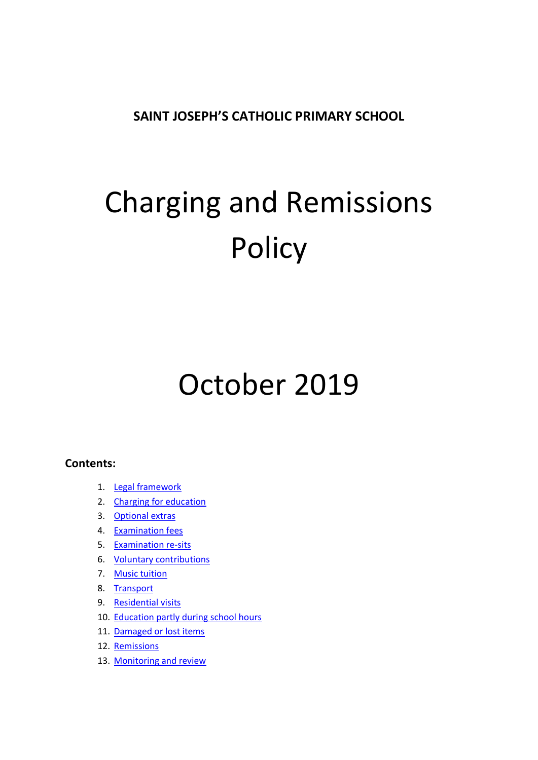**SAINT JOSEPH'S CATHOLIC PRIMARY SCHOOL**

# Charging and Remissions **Policy**

# October 2019

### **Contents:**

- 1. [Legal framework](#page-2-0)
- 2. [Charging for education](#page-2-1)
- 3. [Optional extras](#page-2-2)
- 4. [Examination fees](#page-3-0)
- 5. [Examination re-sits](#page-3-1)
- 6. [Voluntary contributions](#page-4-0)
- 7. [Music tuition](#page-4-1)
- 8. [Transport](#page-4-2)
- 9. [Residential visits](#page-5-0)
- 10. [Education partly during school hours](#page-5-1)
- 11. [Damaged or lost items](#page-6-0)
- 12. [Remissions](#page-6-1)
- 13. [Monitoring and review](#page-6-2)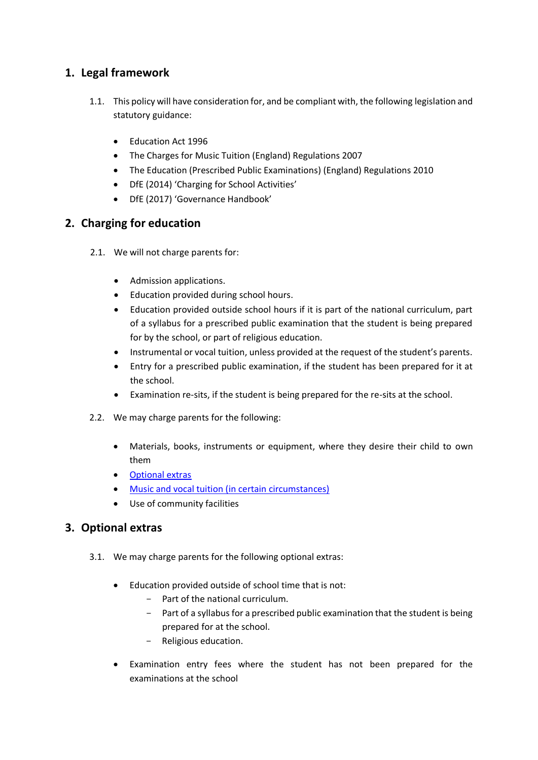# <span id="page-2-0"></span>**1. Legal framework**

- 1.1. This policy will have consideration for, and be compliant with, the following legislation and statutory guidance:
	- Education Act 1996
	- The Charges for Music Tuition (England) Regulations 2007
	- The Education (Prescribed Public Examinations) (England) Regulations 2010
	- DfE (2014) 'Charging for School Activities'
	- DfE (2017) 'Governance Handbook'

# <span id="page-2-1"></span>**2. Charging for education**

- 2.1. We will not charge parents for:
	- Admission applications.
	- Education provided during school hours.
	- Education provided outside school hours if it is part of the national curriculum, part of a syllabus for a prescribed public examination that the student is being prepared for by the school, or part of religious education.
	- Instrumental or vocal tuition, unless provided at the request of the student's parents.
	- Entry for a prescribed public examination, if the student has been prepared for it at the school.
	- Examination re-sits, if the student is being prepared for the re-sits at the school.
- 2.2. We may charge parents for the following:
	- Materials, books, instruments or equipment, where they desire their child to own them
	- [Optional extras](#page-2-2)
	- [Music and vocal tuition \(in certain circumstances\)](#page-4-1)
	- Use of community facilities

# <span id="page-2-2"></span>**3. Optional extras**

- 3.1. We may charge parents for the following optional extras:
	- Education provided outside of school time that is not:
		- Part of the national curriculum.
		- Part of a syllabus for a prescribed public examination that the student is being prepared for at the school.
		- Religious education.
	- Examination entry fees where the student has not been prepared for the examinations at the school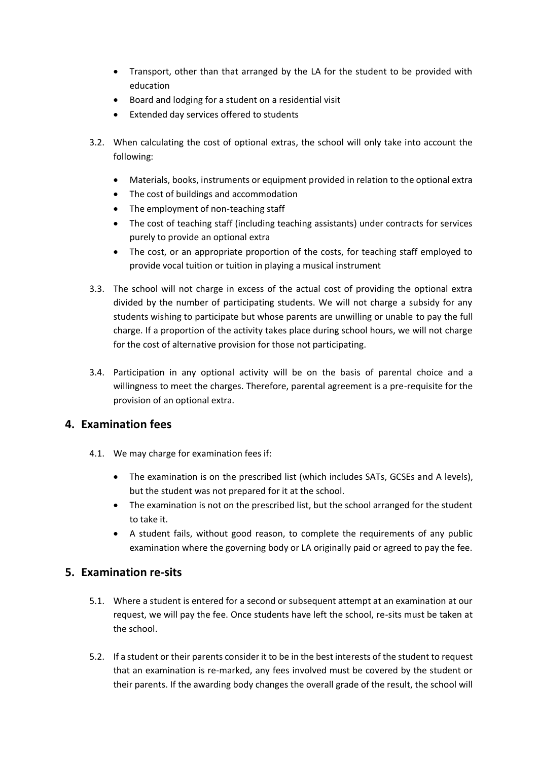- Transport, other than that arranged by the LA for the student to be provided with education
- Board and lodging for a student on a residential visit
- Extended day services offered to students
- 3.2. When calculating the cost of optional extras, the school will only take into account the following:
	- Materials, books, instruments or equipment provided in relation to the optional extra
	- The cost of buildings and accommodation
	- The employment of non-teaching staff
	- The cost of teaching staff (including teaching assistants) under contracts for services purely to provide an optional extra
	- The cost, or an appropriate proportion of the costs, for teaching staff employed to provide vocal tuition or tuition in playing a musical instrument
- 3.3. The school will not charge in excess of the actual cost of providing the optional extra divided by the number of participating students. We will not charge a subsidy for any students wishing to participate but whose parents are unwilling or unable to pay the full charge. If a proportion of the activity takes place during school hours, we will not charge for the cost of alternative provision for those not participating.
- 3.4. Participation in any optional activity will be on the basis of parental choice and a willingness to meet the charges. Therefore, parental agreement is a pre-requisite for the provision of an optional extra.

#### <span id="page-3-0"></span>**4. Examination fees**

- 4.1. We may charge for examination fees if:
	- The examination is on the prescribed list (which includes SATs, GCSEs and A levels), but the student was not prepared for it at the school.
	- The examination is not on the prescribed list, but the school arranged for the student to take it.
	- A student fails, without good reason, to complete the requirements of any public examination where the governing body or LA originally paid or agreed to pay the fee.

#### <span id="page-3-1"></span>**5. Examination re-sits**

- 5.1. Where a student is entered for a second or subsequent attempt at an examination at our request, we will pay the fee. Once students have left the school, re-sits must be taken at the school.
- 5.2. If a student or their parents consider it to be in the best interests of the student to request that an examination is re-marked, any fees involved must be covered by the student or their parents. If the awarding body changes the overall grade of the result, the school will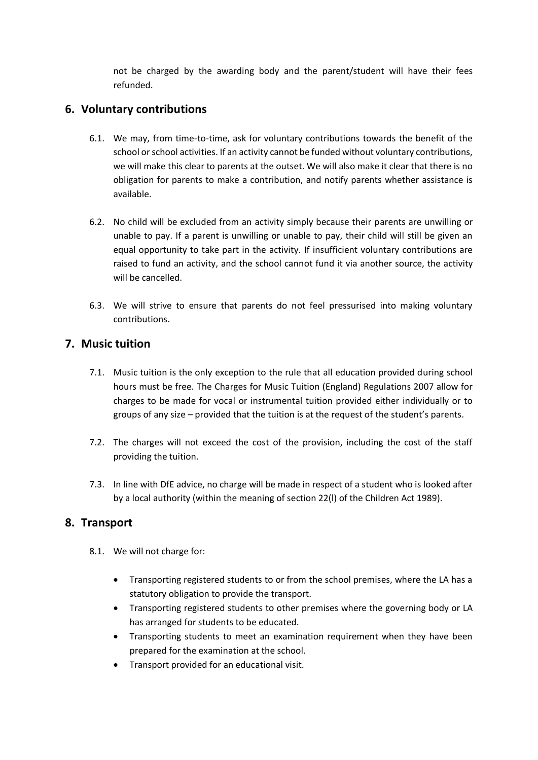not be charged by the awarding body and the parent/student will have their fees refunded.

# <span id="page-4-0"></span>**6. Voluntary contributions**

- 6.1. We may, from time-to-time, ask for voluntary contributions towards the benefit of the school or school activities. If an activity cannot be funded without voluntary contributions, we will make this clear to parents at the outset. We will also make it clear that there is no obligation for parents to make a contribution, and notify parents whether assistance is available.
- 6.2. No child will be excluded from an activity simply because their parents are unwilling or unable to pay. If a parent is unwilling or unable to pay, their child will still be given an equal opportunity to take part in the activity. If insufficient voluntary contributions are raised to fund an activity, and the school cannot fund it via another source, the activity will be cancelled.
- 6.3. We will strive to ensure that parents do not feel pressurised into making voluntary contributions.

### <span id="page-4-1"></span>**7. Music tuition**

- 7.1. Music tuition is the only exception to the rule that all education provided during school hours must be free. The Charges for Music Tuition (England) Regulations 2007 allow for charges to be made for vocal or instrumental tuition provided either individually or to groups of any size – provided that the tuition is at the request of the student's parents.
- 7.2. The charges will not exceed the cost of the provision, including the cost of the staff providing the tuition.
- 7.3. In line with DfE advice, no charge will be made in respect of a student who is looked after by a local authority (within the meaning of section 22(l) of the Children Act 1989).

#### <span id="page-4-2"></span>**8. Transport**

- 8.1. We will not charge for:
	- Transporting registered students to or from the school premises, where the LA has a statutory obligation to provide the transport.
	- Transporting registered students to other premises where the governing body or LA has arranged for students to be educated.
	- Transporting students to meet an examination requirement when they have been prepared for the examination at the school.
	- Transport provided for an educational visit.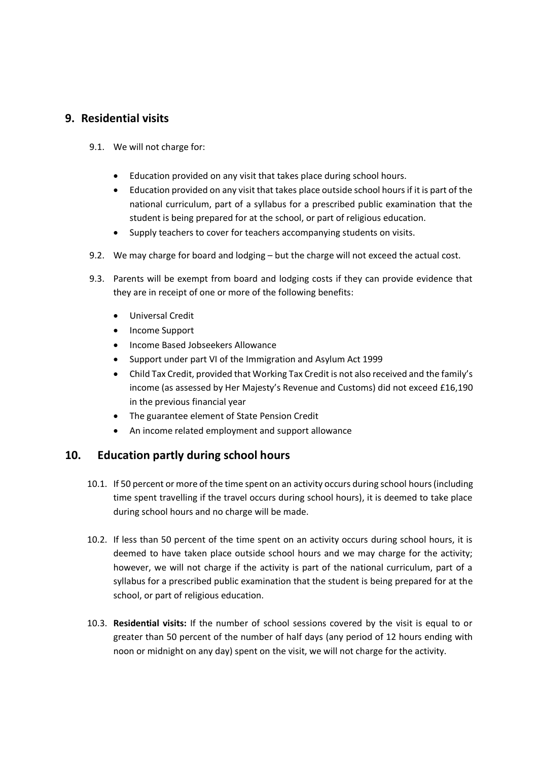### <span id="page-5-0"></span>**9. Residential visits**

- 9.1. We will not charge for:
	- Education provided on any visit that takes place during school hours.
	- Education provided on any visit that takes place outside school hours if it is part of the national curriculum, part of a syllabus for a prescribed public examination that the student is being prepared for at the school, or part of religious education.
	- Supply teachers to cover for teachers accompanying students on visits.
- 9.2. We may charge for board and lodging but the charge will not exceed the actual cost.
- 9.3. Parents will be exempt from board and lodging costs if they can provide evidence that they are in receipt of one or more of the following benefits:
	- Universal Credit
	- Income Support
	- Income Based Jobseekers Allowance
	- Support under part VI of the Immigration and Asylum Act 1999
	- Child Tax Credit, provided that Working Tax Credit is not also received and the family's income (as assessed by Her Majesty's Revenue and Customs) did not exceed £16,190 in the previous financial year
	- The guarantee element of State Pension Credit
	- An income related employment and support allowance

### <span id="page-5-1"></span>**10. Education partly during school hours**

- 10.1. If 50 percent or more of the time spent on an activity occurs during school hours (including time spent travelling if the travel occurs during school hours), it is deemed to take place during school hours and no charge will be made.
- 10.2. If less than 50 percent of the time spent on an activity occurs during school hours, it is deemed to have taken place outside school hours and we may charge for the activity; however, we will not charge if the activity is part of the national curriculum, part of a syllabus for a prescribed public examination that the student is being prepared for at the school, or part of religious education.
- 10.3. **Residential visits:** If the number of school sessions covered by the visit is equal to or greater than 50 percent of the number of half days (any period of 12 hours ending with noon or midnight on any day) spent on the visit, we will not charge for the activity.